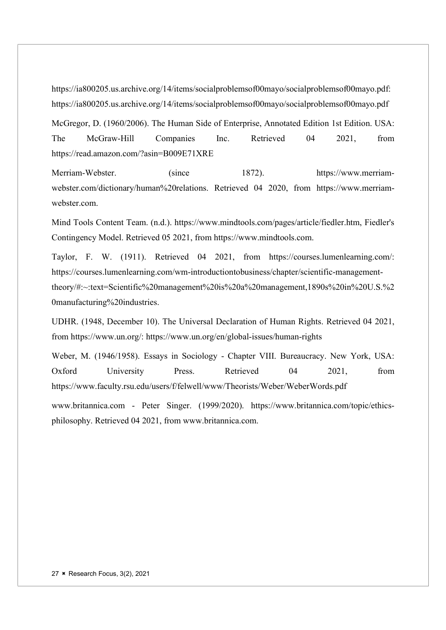https://ia800205.us.archive.org/14/items/socialproblemsof00mayo/socialproblemsof00mayo.pdf: https://ia800205.us.archive.org/14/items/socialproblemsof00mayo/socialproblemsof00mayo.pdf

McGregor, D. (1960/2006). The Human Side of Enterprise, Annotated Edition 1st Edition. USA: The McGraw-Hill Companies Inc. Retrieved 04 2021, from https://read.amazon.com/?asin=B009E71XRE

Merriam-Webster. (since 1872). https://www.merriamwebster.com/dictionary/human%20relations. Retrieved 04 2020, from https://www.merriamwebster.com.

Mind Tools Content Team. (n.d.). https://www.mindtools.com/pages/article/fiedler.htm, Fiedler's Contingency Model. Retrieved 05 2021, from https://www.mindtools.com.

Taylor, F. W. (1911). Retrieved 04 2021, from https://courses.lumenlearning.com/: https://courses.lumenlearning.com/wm-introductiontobusiness/chapter/scientific-managementtheory/#:~:text=Scientific%20management%20is%20a%20management,1890s%20in%20U.S.%2 0manufacturing%20industries.

UDHR. (1948, December 10). The Universal Declaration of Human Rights. Retrieved 04 2021, from https://www.un.org/: https://www.un.org/en/global-issues/human-rights

Weber, M. (1946/1958). Essays in Sociology - Chapter VIII. Bureaucracy. New York, USA: Oxford University Press. Retrieved 04 2021, from https://www.faculty.rsu.edu/users/f/felwell/www/Theorists/Weber/WeberWords.pdf

www.britannica.com - Peter Singer. (1999/2020). https://www.britannica.com/topic/ethicsphilosophy. Retrieved 04 2021, from www.britannica.com.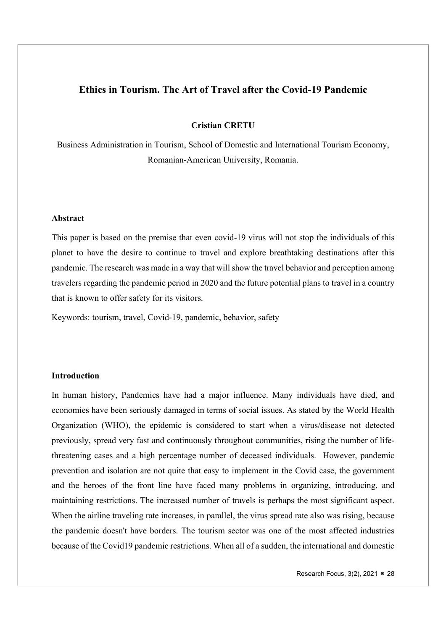# Ethics in Tourism. The Art of Travel after the Covid-19 Pandemic

Cristian CRETU

Business Administration in Tourism, School of Domestic and International Tourism Economy, Romanian-American University, Romania.

## Abstract

This paper is based on the premise that even covid-19 virus will not stop the individuals of this planet to have the desire to continue to travel and explore breathtaking destinations after this pandemic. The research was made in a way that will show the travel behavior and perception among travelers regarding the pandemic period in 2020 and the future potential plans to travel in a country that is known to offer safety for its visitors.

Keywords: tourism, travel, Covid-19, pandemic, behavior, safety

## Introduction

In human history, Pandemics have had a major influence. Many individuals have died, and economies have been seriously damaged in terms of social issues. As stated by the World Health Organization (WHO), the epidemic is considered to start when a virus/disease not detected previously, spread very fast and continuously throughout communities, rising the number of lifethreatening cases and a high percentage number of deceased individuals. However, pandemic prevention and isolation are not quite that easy to implement in the Covid case, the government and the heroes of the front line have faced many problems in organizing, introducing, and maintaining restrictions. The increased number of travels is perhaps the most significant aspect. When the airline traveling rate increases, in parallel, the virus spread rate also was rising, because the pandemic doesn't have borders. The tourism sector was one of the most affected industries because of the Covid19 pandemic restrictions. When all of a sudden, the international and domestic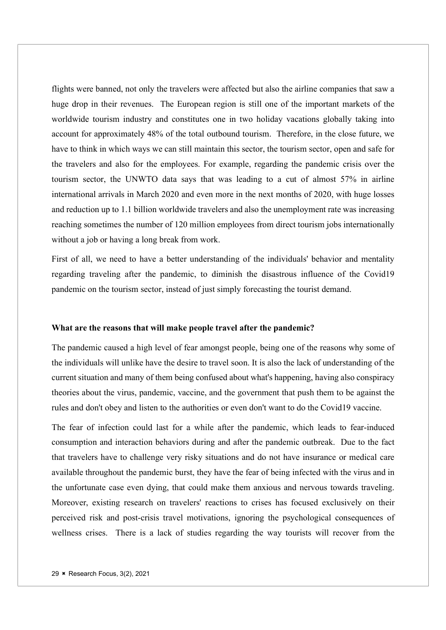flights were banned, not only the travelers were affected but also the airline companies that saw a huge drop in their revenues. The European region is still one of the important markets of the worldwide tourism industry and constitutes one in two holiday vacations globally taking into account for approximately 48% of the total outbound tourism. Therefore, in the close future, we have to think in which ways we can still maintain this sector, the tourism sector, open and safe for the travelers and also for the employees. For example, regarding the pandemic crisis over the tourism sector, the UNWTO data says that was leading to a cut of almost 57% in airline international arrivals in March 2020 and even more in the next months of 2020, with huge losses and reduction up to 1.1 billion worldwide travelers and also the unemployment rate was increasing reaching sometimes the number of 120 million employees from direct tourism jobs internationally without a job or having a long break from work.

First of all, we need to have a better understanding of the individuals' behavior and mentality regarding traveling after the pandemic, to diminish the disastrous influence of the Covid19 pandemic on the tourism sector, instead of just simply forecasting the tourist demand.

#### What are the reasons that will make people travel after the pandemic?

The pandemic caused a high level of fear amongst people, being one of the reasons why some of the individuals will unlike have the desire to travel soon. It is also the lack of understanding of the current situation and many of them being confused about what's happening, having also conspiracy theories about the virus, pandemic, vaccine, and the government that push them to be against the rules and don't obey and listen to the authorities or even don't want to do the Covid19 vaccine.

The fear of infection could last for a while after the pandemic, which leads to fear-induced consumption and interaction behaviors during and after the pandemic outbreak. Due to the fact that travelers have to challenge very risky situations and do not have insurance or medical care available throughout the pandemic burst, they have the fear of being infected with the virus and in the unfortunate case even dying, that could make them anxious and nervous towards traveling. Moreover, existing research on travelers' reactions to crises has focused exclusively on their perceived risk and post-crisis travel motivations, ignoring the psychological consequences of wellness crises. There is a lack of studies regarding the way tourists will recover from the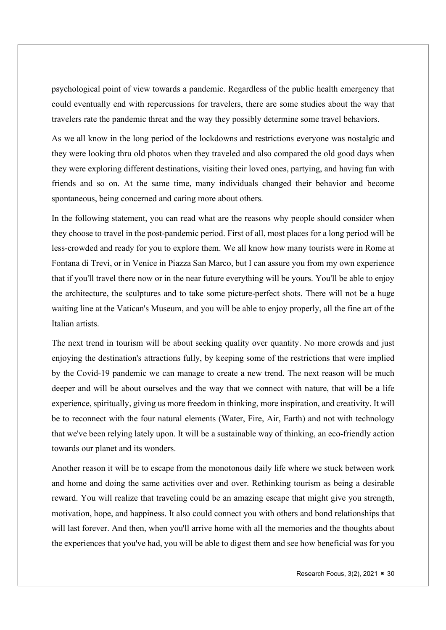psychological point of view towards a pandemic. Regardless of the public health emergency that could eventually end with repercussions for travelers, there are some studies about the way that travelers rate the pandemic threat and the way they possibly determine some travel behaviors.

As we all know in the long period of the lockdowns and restrictions everyone was nostalgic and they were looking thru old photos when they traveled and also compared the old good days when they were exploring different destinations, visiting their loved ones, partying, and having fun with friends and so on. At the same time, many individuals changed their behavior and become spontaneous, being concerned and caring more about others.

In the following statement, you can read what are the reasons why people should consider when they choose to travel in the post-pandemic period. First of all, most places for a long period will be less-crowded and ready for you to explore them. We all know how many tourists were in Rome at Fontana di Trevi, or in Venice in Piazza San Marco, but I can assure you from my own experience that if you'll travel there now or in the near future everything will be yours. You'll be able to enjoy the architecture, the sculptures and to take some picture-perfect shots. There will not be a huge waiting line at the Vatican's Museum, and you will be able to enjoy properly, all the fine art of the Italian artists.

The next trend in tourism will be about seeking quality over quantity. No more crowds and just enjoying the destination's attractions fully, by keeping some of the restrictions that were implied by the Covid-19 pandemic we can manage to create a new trend. The next reason will be much deeper and will be about ourselves and the way that we connect with nature, that will be a life experience, spiritually, giving us more freedom in thinking, more inspiration, and creativity. It will be to reconnect with the four natural elements (Water, Fire, Air, Earth) and not with technology that we've been relying lately upon. It will be a sustainable way of thinking, an eco-friendly action towards our planet and its wonders.

Another reason it will be to escape from the monotonous daily life where we stuck between work and home and doing the same activities over and over. Rethinking tourism as being a desirable reward. You will realize that traveling could be an amazing escape that might give you strength, motivation, hope, and happiness. It also could connect you with others and bond relationships that will last forever. And then, when you'll arrive home with all the memories and the thoughts about the experiences that you've had, you will be able to digest them and see how beneficial was for you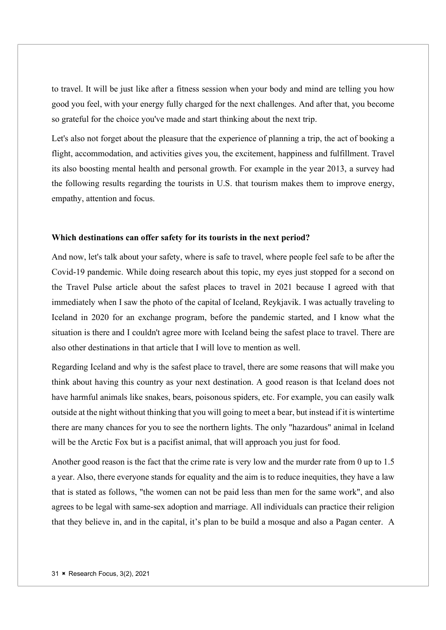to travel. It will be just like after a fitness session when your body and mind are telling you how good you feel, with your energy fully charged for the next challenges. And after that, you become so grateful for the choice you've made and start thinking about the next trip.

Let's also not forget about the pleasure that the experience of planning a trip, the act of booking a flight, accommodation, and activities gives you, the excitement, happiness and fulfillment. Travel its also boosting mental health and personal growth. For example in the year 2013, a survey had the following results regarding the tourists in U.S. that tourism makes them to improve energy, empathy, attention and focus.

### Which destinations can offer safety for its tourists in the next period?

And now, let's talk about your safety, where is safe to travel, where people feel safe to be after the Covid-19 pandemic. While doing research about this topic, my eyes just stopped for a second on the Travel Pulse article about the safest places to travel in 2021 because I agreed with that immediately when I saw the photo of the capital of Iceland, Reykjavik. I was actually traveling to Iceland in 2020 for an exchange program, before the pandemic started, and I know what the situation is there and I couldn't agree more with Iceland being the safest place to travel. There are also other destinations in that article that I will love to mention as well.

Regarding Iceland and why is the safest place to travel, there are some reasons that will make you think about having this country as your next destination. A good reason is that Iceland does not have harmful animals like snakes, bears, poisonous spiders, etc. For example, you can easily walk outside at the night without thinking that you will going to meet a bear, but instead if it is wintertime there are many chances for you to see the northern lights. The only "hazardous" animal in Iceland will be the Arctic Fox but is a pacifist animal, that will approach you just for food.

Another good reason is the fact that the crime rate is very low and the murder rate from 0 up to 1.5 a year. Also, there everyone stands for equality and the aim is to reduce inequities, they have a law that is stated as follows, "the women can not be paid less than men for the same work", and also agrees to be legal with same-sex adoption and marriage. All individuals can practice their religion that they believe in, and in the capital, it's plan to be build a mosque and also a Pagan center. A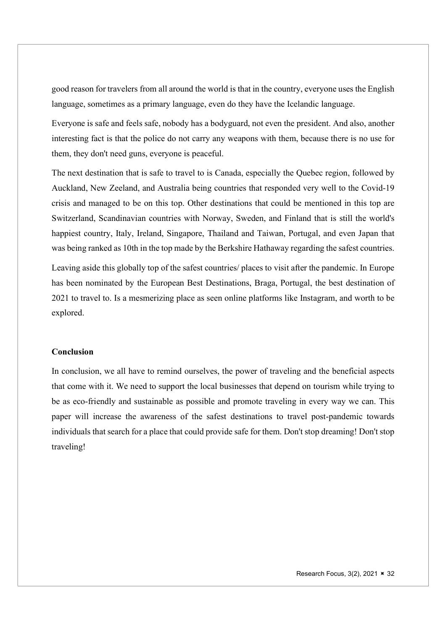good reason for travelers from all around the world is that in the country, everyone uses the English language, sometimes as a primary language, even do they have the Icelandic language.

Everyone is safe and feels safe, nobody has a bodyguard, not even the president. And also, another interesting fact is that the police do not carry any weapons with them, because there is no use for them, they don't need guns, everyone is peaceful.

The next destination that is safe to travel to is Canada, especially the Quebec region, followed by Auckland, New Zeeland, and Australia being countries that responded very well to the Covid-19 crisis and managed to be on this top. Other destinations that could be mentioned in this top are Switzerland, Scandinavian countries with Norway, Sweden, and Finland that is still the world's happiest country, Italy, Ireland, Singapore, Thailand and Taiwan, Portugal, and even Japan that was being ranked as 10th in the top made by the Berkshire Hathaway regarding the safest countries.

Leaving aside this globally top of the safest countries/ places to visit after the pandemic. In Europe has been nominated by the European Best Destinations, Braga, Portugal, the best destination of 2021 to travel to. Is a mesmerizing place as seen online platforms like Instagram, and worth to be explored.

## Conclusion

In conclusion, we all have to remind ourselves, the power of traveling and the beneficial aspects that come with it. We need to support the local businesses that depend on tourism while trying to be as eco-friendly and sustainable as possible and promote traveling in every way we can. This paper will increase the awareness of the safest destinations to travel post-pandemic towards individuals that search for a place that could provide safe for them. Don't stop dreaming! Don't stop traveling!